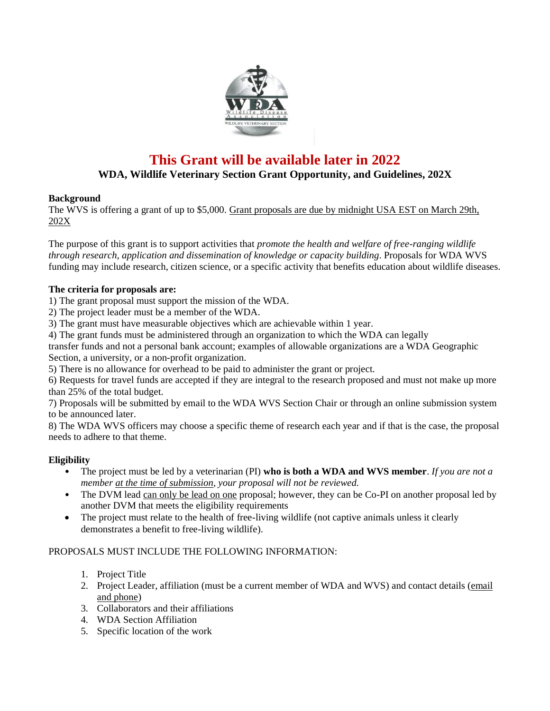

# **This Grant will be available later in 2022**

## **WDA, Wildlife Veterinary Section Grant Opportunity, and Guidelines, 202X**

## **Background**

The WVS is offering a grant of up to \$5,000. Grant proposals are due by midnight USA EST on March 29th, 202X

The purpose of this grant is to support activities that *promote the health and welfare of free-ranging wildlife through research, application and dissemination of knowledge or capacity building*. Proposals for WDA WVS funding may include research, citizen science, or a specific activity that benefits education about wildlife diseases.

## **The criteria for proposals are:**

1) The grant proposal must support the mission of the WDA.

- 2) The project leader must be a member of the WDA.
- 3) The grant must have measurable objectives which are achievable within 1 year.
- 4) The grant funds must be administered through an organization to which the WDA can legally

transfer funds and not a personal bank account; examples of allowable organizations are a WDA Geographic Section, a university, or a non-profit organization.

5) There is no allowance for overhead to be paid to administer the grant or project.

6) Requests for travel funds are accepted if they are integral to the research proposed and must not make up more than 25% of the total budget.

7) Proposals will be submitted by email to the WDA WVS Section Chair or through an online submission system to be announced later.

8) The WDA WVS officers may choose a specific theme of research each year and if that is the case, the proposal needs to adhere to that theme.

## **Eligibility**

- The project must be led by a veterinarian (PI) **who is both a WDA and WVS member**. *If you are not a member at the time of submission, your proposal will not be reviewed.*
- The DVM lead can only be lead on one proposal; however, they can be Co-PI on another proposal led by another DVM that meets the eligibility requirements
- The project must relate to the health of free-living wildlife (not captive animals unless it clearly demonstrates a benefit to free-living wildlife).

## PROPOSALS MUST INCLUDE THE FOLLOWING INFORMATION:

- 1. Project Title
- 2. Project Leader, affiliation (must be a current member of WDA and WVS) and contact details (email and phone)
- 3. Collaborators and their affiliations
- 4. WDA Section Affiliation
- 5. Specific location of the work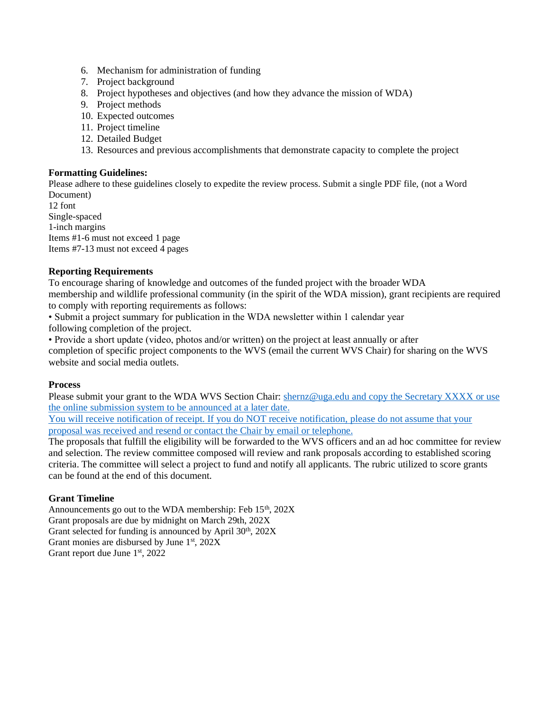- 6. Mechanism for administration of funding
- 7. Project background
- 8. Project hypotheses and objectives (and how they advance the mission of WDA)
- 9. Project methods
- 10. Expected outcomes
- 11. Project timeline
- 12. Detailed Budget
- 13. Resources and previous accomplishments that demonstrate capacity to complete the project

#### **Formatting Guidelines:**

Please adhere to these guidelines closely to expedite the review process. Submit a single PDF file, (not a Word Document)

12 font Single-spaced 1-inch margins Items #1-6 must not exceed 1 page Items #7-13 must not exceed 4 pages

## **Reporting Requirements**

To encourage sharing of knowledge and outcomes of the funded project with the broader WDA membership and wildlife professional community (in the spirit of the WDA mission), grant recipients are required to comply with reporting requirements as follows:

• Submit a project summary for publication in the WDA newsletter within 1 calendar year

following completion of the project.

• Provide a short update (video, photos and/or written) on the project at least annually or after completion of specific project components to the WVS (email the current WVS Chair) for sharing on the WVS website and social media outlets.

#### **Process**

Please submit your grant to the WDA WVS Section Chair: [shernz@uga.edu](mailto:shernz@uga.edu) and copy the Secretary XXXX or use the online submission system to be announced at a later date.

You will receive notification of receipt. If you do NOT receive notification, please do not assume that your proposal was received and resend or contact the Chair by email or telephone.

The proposals that fulfill the eligibility will be forwarded to the WVS officers and an ad hoc committee for review and selection. The review committee composed will review and rank proposals according to established scoring criteria. The committee will select a project to fund and notify all applicants. The rubric utilized to score grants can be found at the end of this document.

## **Grant Timeline**

Announcements go out to the WDA membership: Feb  $15<sup>th</sup>$ ,  $202X$ Grant proposals are due by midnight on March 29th, 202X Grant selected for funding is announced by April 30<sup>th</sup>, 202X Grant monies are disbursed by June 1<sup>st</sup>, 202X Grant report due June 1<sup>st</sup>, 2022